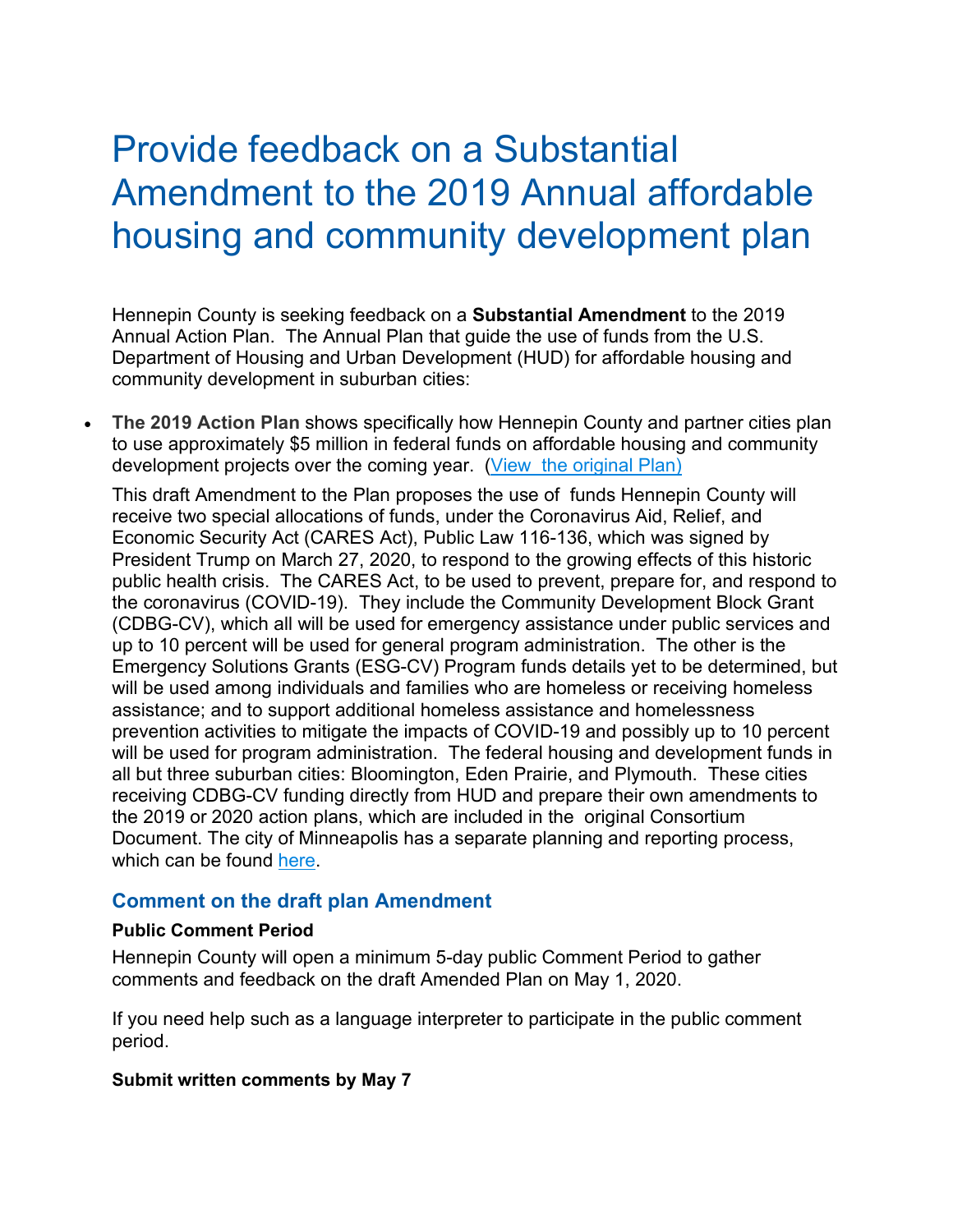## Provide feedback on a Substantial Amendment to the 2019 Annual affordable housing and community development plan

Hennepin County is seeking feedback on a **Substantial Amendment** to the 2019 Annual Action Plan. The Annual Plan that guide the use of funds from the U.S. Department of Housing and Urban Development (HUD) for affordable housing and community development in suburban cities:

• **The 2019 Action Plan** shows specifically how Hennepin County and partner cities plan to use approximately \$5 million in federal funds on affordable housing and community development projects over the coming year. [\(View the original Plan\)](https://www.hennepin.us/-/media/hennepinus/your-government/research-data/housing-plans/Con-Plan-Final-2020.pdf?la=en&hash=4D8E98A72190743618ABD880076682E675EAF0B1)

This draft Amendment to the Plan proposes the use of funds Hennepin County will receive two special allocations of funds, under the Coronavirus Aid, Relief, and Economic Security Act (CARES Act), Public Law 116-136, which was signed by President Trump on March 27, 2020, to respond to the growing effects of this historic public health crisis. The CARES Act, to be used to prevent, prepare for, and respond to the coronavirus (COVID-19). They include the Community Development Block Grant (CDBG-CV), which all will be used for emergency assistance under public services and up to 10 percent will be used for general program administration. The other is the Emergency Solutions Grants (ESG-CV) Program funds details yet to be determined, but will be used among individuals and families who are homeless or receiving homeless assistance; and to support additional homeless assistance and homelessness prevention activities to mitigate the impacts of COVID-19 and possibly up to 10 percent will be used for program administration. The federal housing and development funds in all but three suburban cities: Bloomington, Eden Prairie, and Plymouth. These cities receiving CDBG-CV funding directly from HUD and prepare their own amendments to the 2019 or 2020 action plans, which are included in the original Consortium Document. The city of Minneapolis has a separate planning and reporting process, which can be found [here.](http://www.minneapolismn.gov/grants/grants_consolidated-plan)

## **Comment on the draft plan Amendment**

## **Public Comment Period**

Hennepin County will open a minimum 5-day public Comment Period to gather comments and feedback on the draft Amended Plan on May 1, 2020.

If you need help such as a language interpreter to participate in the public comment period.

## **Submit written comments by May 7**